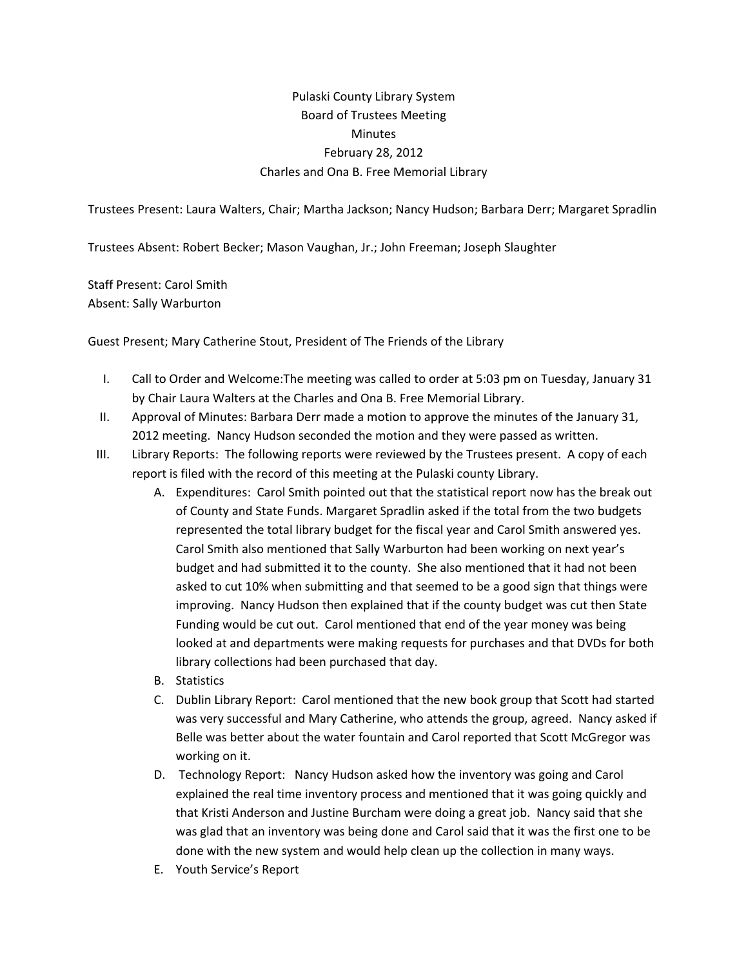## Pulaski County Library System Board of Trustees Meeting **Minutes** February 28, 2012 Charles and Ona B. Free Memorial Library

Trustees Present: Laura Walters, Chair; Martha Jackson; Nancy Hudson; Barbara Derr; Margaret Spradlin

Trustees Absent: Robert Becker; Mason Vaughan, Jr.; John Freeman; Joseph Slaughter

Staff Present: Carol Smith Absent: Sally Warburton

Guest Present; Mary Catherine Stout, President of The Friends of the Library

- I. Call to Order and Welcome:The meeting was called to order at 5:03 pm on Tuesday, January 31 by Chair Laura Walters at the Charles and Ona B. Free Memorial Library.
- II. Approval of Minutes: Barbara Derr made a motion to approve the minutes of the January 31, 2012 meeting. Nancy Hudson seconded the motion and they were passed as written.
- III. Library Reports: The following reports were reviewed by the Trustees present. A copy of each report is filed with the record of this meeting at the Pulaski county Library.
	- A. Expenditures: Carol Smith pointed out that the statistical report now has the break out of County and State Funds. Margaret Spradlin asked if the total from the two budgets represented the total library budget for the fiscal year and Carol Smith answered yes. Carol Smith also mentioned that Sally Warburton had been working on next year's budget and had submitted it to the county. She also mentioned that it had not been asked to cut 10% when submitting and that seemed to be a good sign that things were improving. Nancy Hudson then explained that if the county budget was cut then State Funding would be cut out. Carol mentioned that end of the year money was being looked at and departments were making requests for purchases and that DVDs for both library collections had been purchased that day.
	- B. Statistics
	- C. Dublin Library Report: Carol mentioned that the new book group that Scott had started was very successful and Mary Catherine, who attends the group, agreed. Nancy asked if Belle was better about the water fountain and Carol reported that Scott McGregor was working on it.
	- D. Technology Report: Nancy Hudson asked how the inventory was going and Carol explained the real time inventory process and mentioned that it was going quickly and that Kristi Anderson and Justine Burcham were doing a great job. Nancy said that she was glad that an inventory was being done and Carol said that it was the first one to be done with the new system and would help clean up the collection in many ways.
	- E. Youth Service's Report